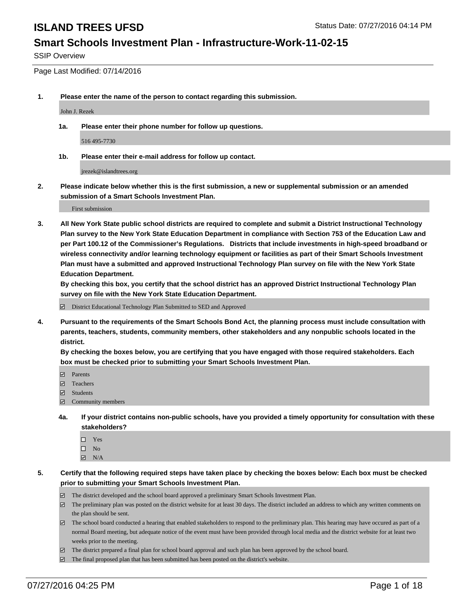### **Smart Schools Investment Plan - Infrastructure-Work-11-02-15**

SSIP Overview

Page Last Modified: 07/14/2016

**1. Please enter the name of the person to contact regarding this submission.**

John J. Rezek

**1a. Please enter their phone number for follow up questions.**

516 495-7730

**1b. Please enter their e-mail address for follow up contact.**

jrezek@islandtrees.org

**2. Please indicate below whether this is the first submission, a new or supplemental submission or an amended submission of a Smart Schools Investment Plan.**

First submission

**3. All New York State public school districts are required to complete and submit a District Instructional Technology Plan survey to the New York State Education Department in compliance with Section 753 of the Education Law and per Part 100.12 of the Commissioner's Regulations. Districts that include investments in high-speed broadband or wireless connectivity and/or learning technology equipment or facilities as part of their Smart Schools Investment Plan must have a submitted and approved Instructional Technology Plan survey on file with the New York State Education Department.** 

**By checking this box, you certify that the school district has an approved District Instructional Technology Plan survey on file with the New York State Education Department.**

District Educational Technology Plan Submitted to SED and Approved

**4. Pursuant to the requirements of the Smart Schools Bond Act, the planning process must include consultation with parents, teachers, students, community members, other stakeholders and any nonpublic schools located in the district.** 

**By checking the boxes below, you are certifying that you have engaged with those required stakeholders. Each box must be checked prior to submitting your Smart Schools Investment Plan.**

- **Parents**
- Teachers
- $\blacksquare$  Students
- Community members
- **4a. If your district contains non-public schools, have you provided a timely opportunity for consultation with these stakeholders?**
	- $\Box$  Yes  $\square$  No
	- $\boxtimes$  N/A
- **5. Certify that the following required steps have taken place by checking the boxes below: Each box must be checked prior to submitting your Smart Schools Investment Plan.**
	- The district developed and the school board approved a preliminary Smart Schools Investment Plan.
	- $\boxdot$  The preliminary plan was posted on the district website for at least 30 days. The district included an address to which any written comments on the plan should be sent.
	- $\Box$  The school board conducted a hearing that enabled stakeholders to respond to the preliminary plan. This hearing may have occured as part of a normal Board meeting, but adequate notice of the event must have been provided through local media and the district website for at least two weeks prior to the meeting.
	- The district prepared a final plan for school board approval and such plan has been approved by the school board.
	- $\boxdot$  The final proposed plan that has been submitted has been posted on the district's website.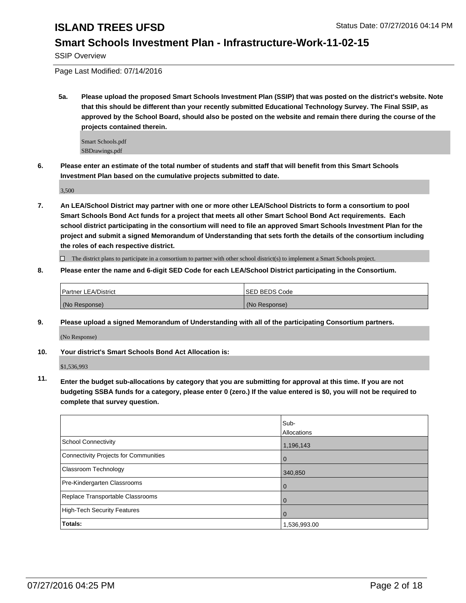### **Smart Schools Investment Plan - Infrastructure-Work-11-02-15**

SSIP Overview

Page Last Modified: 07/14/2016

**5a. Please upload the proposed Smart Schools Investment Plan (SSIP) that was posted on the district's website. Note that this should be different than your recently submitted Educational Technology Survey. The Final SSIP, as approved by the School Board, should also be posted on the website and remain there during the course of the projects contained therein.**

Smart Schools.pdf SBDrawings.pdf

**6. Please enter an estimate of the total number of students and staff that will benefit from this Smart Schools Investment Plan based on the cumulative projects submitted to date.**

3,500

**7. An LEA/School District may partner with one or more other LEA/School Districts to form a consortium to pool Smart Schools Bond Act funds for a project that meets all other Smart School Bond Act requirements. Each school district participating in the consortium will need to file an approved Smart Schools Investment Plan for the project and submit a signed Memorandum of Understanding that sets forth the details of the consortium including the roles of each respective district.**

 $\Box$  The district plans to participate in a consortium to partner with other school district(s) to implement a Smart Schools project.

**8. Please enter the name and 6-digit SED Code for each LEA/School District participating in the Consortium.**

| Partner LEA/District | <b>ISED BEDS Code</b> |
|----------------------|-----------------------|
| (No Response)        | (No Response)         |

**9. Please upload a signed Memorandum of Understanding with all of the participating Consortium partners.**

(No Response)

### **10. Your district's Smart Schools Bond Act Allocation is:**

\$1,536,993

**11. Enter the budget sub-allocations by category that you are submitting for approval at this time. If you are not budgeting SSBA funds for a category, please enter 0 (zero.) If the value entered is \$0, you will not be required to complete that survey question.**

|                                       | Sub-<br>Allocations |
|---------------------------------------|---------------------|
| School Connectivity                   | 1,196,143           |
| Connectivity Projects for Communities | 0                   |
| <b>Classroom Technology</b>           | 340,850             |
| Pre-Kindergarten Classrooms           | 0                   |
| Replace Transportable Classrooms      |                     |
| High-Tech Security Features           | 0                   |
| Totals:                               | 1,536,993.00        |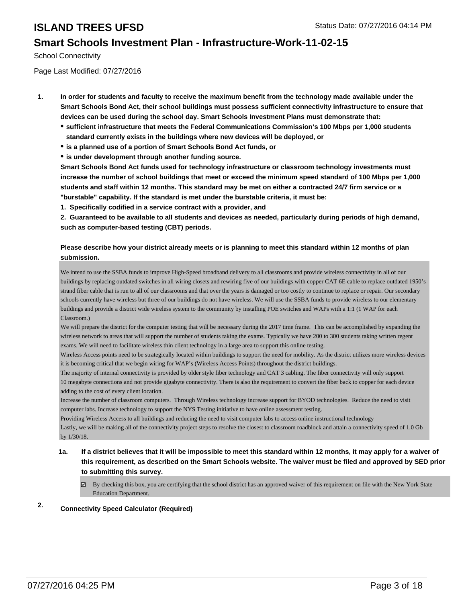### **Smart Schools Investment Plan - Infrastructure-Work-11-02-15**

School Connectivity

Page Last Modified: 07/27/2016

- **1. In order for students and faculty to receive the maximum benefit from the technology made available under the Smart Schools Bond Act, their school buildings must possess sufficient connectivity infrastructure to ensure that devices can be used during the school day. Smart Schools Investment Plans must demonstrate that:**
	- **sufficient infrastructure that meets the Federal Communications Commission's 100 Mbps per 1,000 students standard currently exists in the buildings where new devices will be deployed, or**
	- **is a planned use of a portion of Smart Schools Bond Act funds, or**
	- **is under development through another funding source.**

**Smart Schools Bond Act funds used for technology infrastructure or classroom technology investments must increase the number of school buildings that meet or exceed the minimum speed standard of 100 Mbps per 1,000 students and staff within 12 months. This standard may be met on either a contracted 24/7 firm service or a "burstable" capability. If the standard is met under the burstable criteria, it must be:**

**1. Specifically codified in a service contract with a provider, and**

**2. Guaranteed to be available to all students and devices as needed, particularly during periods of high demand, such as computer-based testing (CBT) periods.**

### **Please describe how your district already meets or is planning to meet this standard within 12 months of plan submission.**

We intend to use the SSBA funds to improve High-Speed broadband delivery to all classrooms and provide wireless connectivity in all of our buildings by replacing outdated switches in all wiring closets and rewiring five of our buildings with copper CAT 6E cable to replace outdated 1950's strand fiber cable that is run to all of our classrooms and that over the years is damaged or too costly to continue to replace or repair. Our secondary schools currently have wireless but three of our buildings do not have wireless. We will use the SSBA funds to provide wireless to our elementary buildings and provide a district wide wireless system to the community by installing POE switches and WAPs with a 1:1 (1 WAP for each Classroom.)

We will prepare the district for the computer testing that will be necessary during the 2017 time frame. This can be accomplished by expanding the wireless network to areas that will support the number of students taking the exams. Typically we have 200 to 300 students taking written regent exams. We will need to facilitate wireless thin client technology in a large area to support this online testing.

Wireless Access points need to be strategically located within buildings to support the need for mobility. As the district utilizes more wireless devices it is becoming critical that we begin wiring for WAP's (Wireless Access Points) throughout the district buildings.

The majority of internal connectivity is provided by older style fiber technology and CAT 3 cabling. The fiber connectivity will only support 10 megabyte connections and not provide gigabyte connectivity. There is also the requirement to convert the fiber back to copper for each device adding to the cost of every client location.

Increase the number of classroom computers. Through Wireless technology increase support for BYOD technologies. Reduce the need to visit computer labs. Increase technology to support the NYS Testing initiative to have online assessment testing.

Providing Wireless Access to all buildings and reducing the need to visit computer labs to access online instructional technology

Lastly, we will be making all of the connectivity project steps to resolve the closest to classroom roadblock and attain a connectivity speed of 1.0 Gb by 1/30/18.

- **1a. If a district believes that it will be impossible to meet this standard within 12 months, it may apply for a waiver of this requirement, as described on the Smart Schools website. The waiver must be filed and approved by SED prior to submitting this survey.**
	- $\boxtimes$  By checking this box, you are certifying that the school district has an approved waiver of this requirement on file with the New York State Education Department.

### **2. Connectivity Speed Calculator (Required)**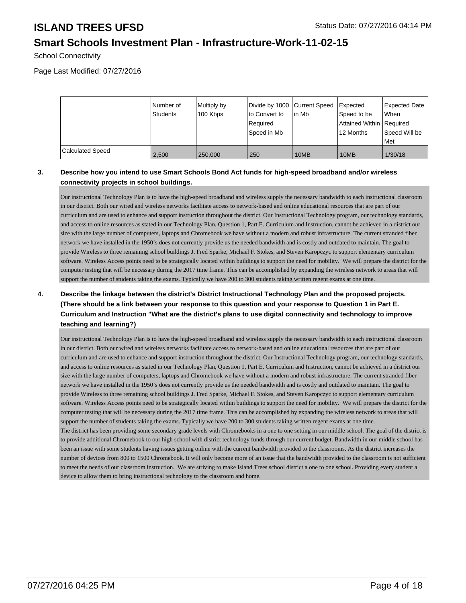## **Smart Schools Investment Plan - Infrastructure-Work-11-02-15**

School Connectivity

Page Last Modified: 07/27/2016

|                         | Number of<br>Students | Multiply by<br>100 Kbps | Divide by 1000 Current Speed<br>lto Convert to<br>l Reauired<br> Speed in Mb | lin Mb | Expected<br>Speed to be<br>Attained Within   Required<br>12 Months | Expected Date<br><b>When</b><br>Speed Will be<br><b>Met</b> |
|-------------------------|-----------------------|-------------------------|------------------------------------------------------------------------------|--------|--------------------------------------------------------------------|-------------------------------------------------------------|
| <b>Calculated Speed</b> | 2.500                 | 250,000                 | 250                                                                          | 10MB   | 10MB                                                               | 1/30/18                                                     |

### **3. Describe how you intend to use Smart Schools Bond Act funds for high-speed broadband and/or wireless connectivity projects in school buildings.**

Our instructional Technology Plan is to have the high-speed broadband and wireless supply the necessary bandwidth to each instructional classroom in our district. Both our wired and wireless networks facilitate access to network-based and online educational resources that are part of our curriculum and are used to enhance and support instruction throughout the district. Our Instructional Technology program, our technology standards, and access to online resources as stated in our Technology Plan, Question 1, Part E. Curriculum and Instruction, cannot be achieved in a district our size with the large number of computers, laptops and Chromebook we have without a modern and robust infrastructure. The current stranded fiber network we have installed in the 1950's does not currently provide us the needed bandwidth and is costly and outdated to maintain. The goal to provide Wireless to three remaining school buildings J. Fred Sparke, Michael F. Stokes, and Steven Karopczyc to support elementary curriculum software. Wireless Access points need to be strategically located within buildings to support the need for mobility. We will prepare the district for the computer testing that will be necessary during the 2017 time frame. This can be accomplished by expanding the wireless network to areas that will support the number of students taking the exams. Typically we have 200 to 300 students taking written regent exams at one time.

### **4. Describe the linkage between the district's District Instructional Technology Plan and the proposed projects. (There should be a link between your response to this question and your response to Question 1 in Part E. Curriculum and Instruction "What are the district's plans to use digital connectivity and technology to improve teaching and learning?)**

Our instructional Technology Plan is to have the high-speed broadband and wireless supply the necessary bandwidth to each instructional classroom in our district. Both our wired and wireless networks facilitate access to network-based and online educational resources that are part of our curriculum and are used to enhance and support instruction throughout the district. Our Instructional Technology program, our technology standards, and access to online resources as stated in our Technology Plan, Question 1, Part E. Curriculum and Instruction, cannot be achieved in a district our size with the large number of computers, laptops and Chromebook we have without a modern and robust infrastructure. The current stranded fiber network we have installed in the 1950's does not currently provide us the needed bandwidth and is costly and outdated to maintain. The goal to provide Wireless to three remaining school buildings J. Fred Sparke, Michael F. Stokes, and Steven Karopczyc to support elementary curriculum software. Wireless Access points need to be strategically located within buildings to support the need for mobility. We will prepare the district for the computer testing that will be necessary during the 2017 time frame. This can be accomplished by expanding the wireless network to areas that will support the number of students taking the exams. Typically we have 200 to 300 students taking written regent exams at one time. The district has been providing some secondary grade levels with Chromebooks in a one to one setting in our middle school. The goal of the district is to provide additional Chromebook to our high school with district technology funds through our current budget. Bandwidth in our middle school has been an issue with some students having issues getting online with the current bandwidth provided to the classrooms. As the district increases the

number of devices from 800 to 1500 Chromebook. It will only become more of an issue that the bandwidth provided to the classroom is not sufficient to meet the needs of our classroom instruction. We are striving to make Island Trees school district a one to one school. Providing every student a device to allow them to bring instructional technology to the classroom and home.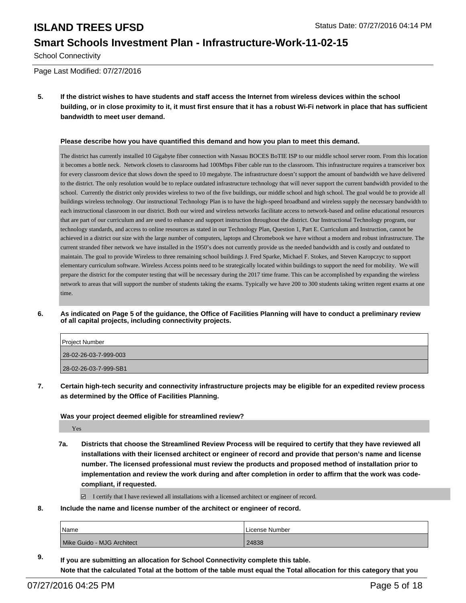## **Smart Schools Investment Plan - Infrastructure-Work-11-02-15**

School Connectivity

Page Last Modified: 07/27/2016

**5. If the district wishes to have students and staff access the Internet from wireless devices within the school building, or in close proximity to it, it must first ensure that it has a robust Wi-Fi network in place that has sufficient bandwidth to meet user demand.**

### **Please describe how you have quantified this demand and how you plan to meet this demand.**

The district has currently installed 10 Gigabyte fiber connection with Nassau BOCES BoTIE ISP to our middle school server room. From this location it becomes a bottle neck. Network closets to classrooms had 100Mbps Fiber cable run to the classroom. This infrastructure requires a transceiver box for every classroom device that slows down the speed to 10 megabyte. The infrastructure doesn't support the amount of bandwidth we have delivered to the district. The only resolution would be to replace outdated infrastructure technology that will never support the current bandwidth provided to the school. Currently the district only provides wireless to two of the five buildings, our middle school and high school. The goal would be to provide all buildings wireless technology. Our instructional Technology Plan is to have the high-speed broadband and wireless supply the necessary bandwidth to each instructional classroom in our district. Both our wired and wireless networks facilitate access to network-based and online educational resources that are part of our curriculum and are used to enhance and support instruction throughout the district. Our Instructional Technology program, our technology standards, and access to online resources as stated in our Technology Plan, Question 1, Part E. Curriculum and Instruction, cannot be achieved in a district our size with the large number of computers, laptops and Chromebook we have without a modern and robust infrastructure. The current stranded fiber network we have installed in the 1950's does not currently provide us the needed bandwidth and is costly and outdated to maintain. The goal to provide Wireless to three remaining school buildings J. Fred Sparke, Michael F. Stokes, and Steven Karopczyc to support elementary curriculum software. Wireless Access points need to be strategically located within buildings to support the need for mobility. We will prepare the district for the computer testing that will be necessary during the 2017 time frame. This can be accomplished by expanding the wireless network to areas that will support the number of students taking the exams. Typically we have 200 to 300 students taking written regent exams at one time.

**6. As indicated on Page 5 of the guidance, the Office of Facilities Planning will have to conduct a preliminary review of all capital projects, including connectivity projects.**

| <b>Project Number</b> |  |
|-----------------------|--|
| 28-02-26-03-7-999-003 |  |
| 28-02-26-03-7-999-SB1 |  |

**7. Certain high-tech security and connectivity infrastructure projects may be eligible for an expedited review process as determined by the Office of Facilities Planning.**

### **Was your project deemed eligible for streamlined review?**

Yes

**7a. Districts that choose the Streamlined Review Process will be required to certify that they have reviewed all installations with their licensed architect or engineer of record and provide that person's name and license number. The licensed professional must review the products and proposed method of installation prior to implementation and review the work during and after completion in order to affirm that the work was codecompliant, if requested.**

 $\boxtimes$  I certify that I have reviewed all installations with a licensed architect or engineer of record.

**8. Include the name and license number of the architect or engineer of record.**

| Name                       | License Number |
|----------------------------|----------------|
| Mike Guido - MJG Architect | 24838          |

**9. If you are submitting an allocation for School Connectivity complete this table. Note that the calculated Total at the bottom of the table must equal the Total allocation for this category that you**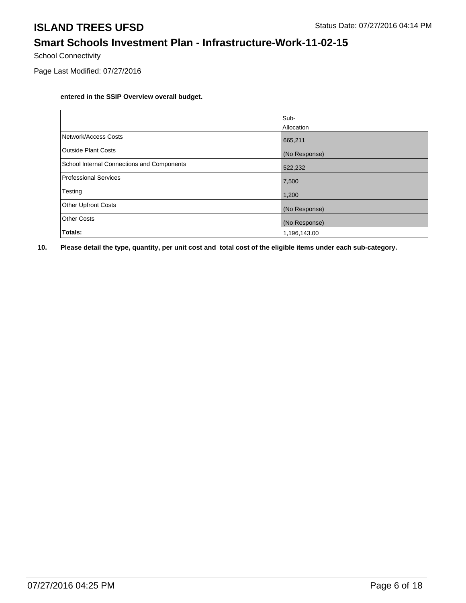# **Smart Schools Investment Plan - Infrastructure-Work-11-02-15**

School Connectivity

Page Last Modified: 07/27/2016

### **entered in the SSIP Overview overall budget.**

|                                            | Sub-          |
|--------------------------------------------|---------------|
|                                            | Allocation    |
| Network/Access Costs                       | 665,211       |
| <b>Outside Plant Costs</b>                 | (No Response) |
| School Internal Connections and Components | 522,232       |
| <b>Professional Services</b>               | 7,500         |
| Testing                                    | 1,200         |
| <b>Other Upfront Costs</b>                 | (No Response) |
| <b>Other Costs</b>                         | (No Response) |
| Totals:                                    | 1,196,143.00  |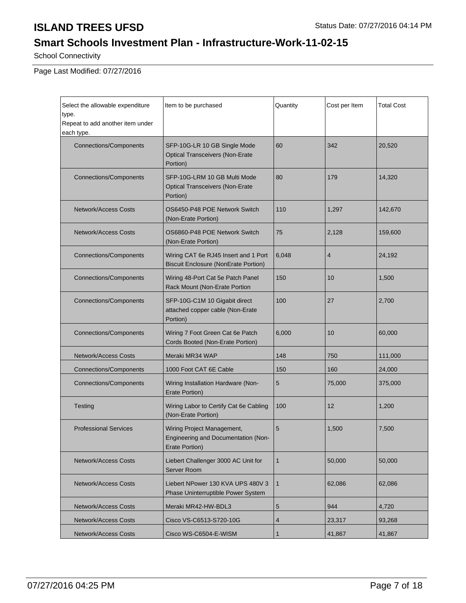# **Smart Schools Investment Plan - Infrastructure-Work-11-02-15**

School Connectivity

Page Last Modified: 07/27/2016

| Select the allowable expenditure<br>type.<br>Repeat to add another item under<br>each type. | Item to be purchased                                                                | Quantity     | Cost per Item | <b>Total Cost</b> |
|---------------------------------------------------------------------------------------------|-------------------------------------------------------------------------------------|--------------|---------------|-------------------|
| <b>Connections/Components</b>                                                               | SFP-10G-LR 10 GB Single Mode<br><b>Optical Transceivers (Non-Erate</b><br>Portion)  | 60           | 342           | 20,520            |
| <b>Connections/Components</b>                                                               | SFP-10G-LRM 10 GB Multi Mode<br><b>Optical Transceivers (Non-Erate</b><br>Portion)  | 80           | 179           | 14,320            |
| <b>Network/Access Costs</b>                                                                 | OS6450-P48 POE Network Switch<br>(Non-Erate Portion)                                | 110          | 1,297         | 142,670           |
| <b>Network/Access Costs</b>                                                                 | OS6860-P48 POE Network Switch<br>(Non-Erate Portion)                                | 75           | 2,128         | 159,600           |
| <b>Connections/Components</b>                                                               | Wiring CAT 6e RJ45 Insert and 1 Port<br><b>Biscuit Enclosure (NonErate Portion)</b> | 6,048        | 4             | 24,192            |
| <b>Connections/Components</b>                                                               | Wiring 48-Port Cat 5e Patch Panel<br>Rack Mount (Non-Erate Portion                  | 150          | 10            | 1,500             |
| <b>Connections/Components</b>                                                               | SFP-10G-C1M 10 Gigabit direct<br>attached copper cable (Non-Erate<br>Portion)       | 100          | 27            | 2,700             |
| <b>Connections/Components</b>                                                               | Wiring 7 Foot Green Cat 6e Patch<br>Cords Booted (Non-Erate Portion)                | 6,000        | 10            | 60,000            |
| <b>Network/Access Costs</b>                                                                 | Meraki MR34 WAP                                                                     | 148          | 750           | 111,000           |
| <b>Connections/Components</b>                                                               | 1000 Foot CAT 6E Cable                                                              | 150          | 160           | 24,000            |
| <b>Connections/Components</b>                                                               | Wiring Installation Hardware (Non-<br>Erate Portion)                                | 5            | 75,000        | 375,000           |
| Testing                                                                                     | Wiring Labor to Certify Cat 6e Cabling<br>(Non-Erate Portion)                       | 100          | 12            | 1,200             |
| <b>Professional Services</b>                                                                | Wiring Project Management,<br>Engineering and Documentation (Non-<br>Erate Portion) | 5            | 1,500         | 7,500             |
| <b>Network/Access Costs</b>                                                                 | Liebert Challenger 3000 AC Unit for<br>Server Room                                  | $\mathbf{1}$ | 50,000        | 50,000            |
| <b>Network/Access Costs</b>                                                                 | Liebert NPower 130 KVA UPS 480V 3<br>Phase Uninterruptible Power System             | $\mathbf{1}$ | 62,086        | 62,086            |
| Network/Access Costs                                                                        | Meraki MR42-HW-BDL3                                                                 | 5            | 944           | 4,720             |
| Network/Access Costs                                                                        | Cisco VS-C6513-S720-10G                                                             | 4            | 23,317        | 93,268            |
| Network/Access Costs                                                                        | Cisco WS-C6504-E-WISM                                                               | $\mathbf{1}$ | 41,867        | 41,867            |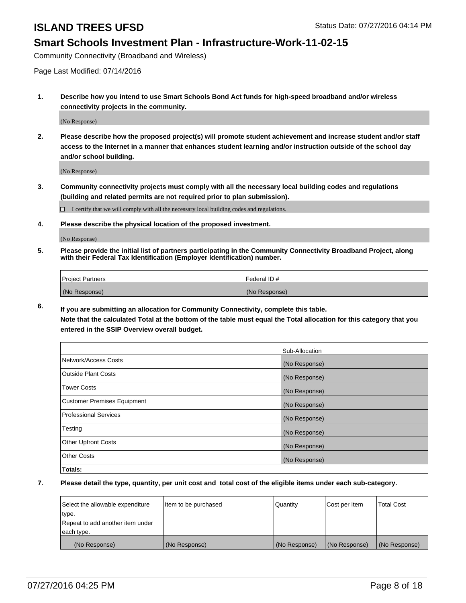### **Smart Schools Investment Plan - Infrastructure-Work-11-02-15**

Community Connectivity (Broadband and Wireless)

Page Last Modified: 07/14/2016

**1. Describe how you intend to use Smart Schools Bond Act funds for high-speed broadband and/or wireless connectivity projects in the community.**

(No Response)

**2. Please describe how the proposed project(s) will promote student achievement and increase student and/or staff access to the Internet in a manner that enhances student learning and/or instruction outside of the school day and/or school building.**

(No Response)

**3. Community connectivity projects must comply with all the necessary local building codes and regulations (building and related permits are not required prior to plan submission).**

 $\Box$  I certify that we will comply with all the necessary local building codes and regulations.

**4. Please describe the physical location of the proposed investment.**

(No Response)

**5. Please provide the initial list of partners participating in the Community Connectivity Broadband Project, along with their Federal Tax Identification (Employer Identification) number.**

| Project Partners | l Federal ID # |
|------------------|----------------|
| (No Response)    | (No Response)  |

**6. If you are submitting an allocation for Community Connectivity, complete this table. Note that the calculated Total at the bottom of the table must equal the Total allocation for this category that you**

**entered in the SSIP Overview overall budget.**

|                             | Sub-Allocation |
|-----------------------------|----------------|
| Network/Access Costs        | (No Response)  |
| <b>Outside Plant Costs</b>  | (No Response)  |
| Tower Costs                 | (No Response)  |
| Customer Premises Equipment | (No Response)  |
| Professional Services       | (No Response)  |
| Testing                     | (No Response)  |
| <b>Other Upfront Costs</b>  | (No Response)  |
| Other Costs                 | (No Response)  |
| Totals:                     |                |

| Select the allowable expenditure | Item to be purchased | Quantity      | Cost per Item | <b>Total Cost</b> |
|----------------------------------|----------------------|---------------|---------------|-------------------|
| type.                            |                      |               |               |                   |
| Repeat to add another item under |                      |               |               |                   |
| each type.                       |                      |               |               |                   |
| (No Response)                    | (No Response)        | (No Response) | (No Response) | (No Response)     |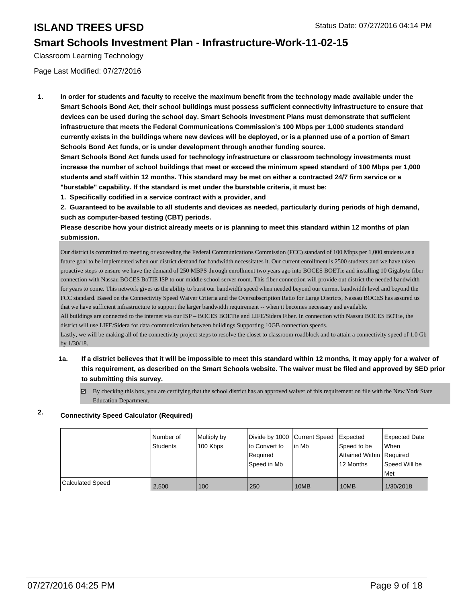### **Smart Schools Investment Plan - Infrastructure-Work-11-02-15**

Classroom Learning Technology

Page Last Modified: 07/27/2016

**1. In order for students and faculty to receive the maximum benefit from the technology made available under the Smart Schools Bond Act, their school buildings must possess sufficient connectivity infrastructure to ensure that devices can be used during the school day. Smart Schools Investment Plans must demonstrate that sufficient infrastructure that meets the Federal Communications Commission's 100 Mbps per 1,000 students standard currently exists in the buildings where new devices will be deployed, or is a planned use of a portion of Smart Schools Bond Act funds, or is under development through another funding source.**

**Smart Schools Bond Act funds used for technology infrastructure or classroom technology investments must increase the number of school buildings that meet or exceed the minimum speed standard of 100 Mbps per 1,000 students and staff within 12 months. This standard may be met on either a contracted 24/7 firm service or a "burstable" capability. If the standard is met under the burstable criteria, it must be:**

**1. Specifically codified in a service contract with a provider, and**

**2. Guaranteed to be available to all students and devices as needed, particularly during periods of high demand, such as computer-based testing (CBT) periods.**

**Please describe how your district already meets or is planning to meet this standard within 12 months of plan submission.**

Our district is committed to meeting or exceeding the Federal Communications Commission (FCC) standard of 100 Mbps per 1,000 students as a future goal to be implemented when our district demand for bandwidth necessitates it. Our current enrollment is 2500 students and we have taken proactive steps to ensure we have the demand of 250 MBPS through enrollment two years ago into BOCES BOETie and installing 10 Gigabyte fiber connection with Nassau BOCES BoTIE ISP to our middle school server room. This fiber connection will provide out district the needed bandwidth for years to come. This network gives us the ability to burst our bandwidth speed when needed beyond our current bandwidth level and beyond the FCC standard. Based on the Connectivity Speed Waiver Criteria and the Oversubscription Ratio for Large Districts, Nassau BOCES has assured us that we have sufficient infrastructure to support the larger bandwidth requirement -- when it becomes necessary and available.

All buildings are connected to the internet via our ISP – BOCES BOETie and LIFE/Sidera Fiber. In connection with Nassau BOCES BOTie, the district will use LIFE/Sidera for data communication between buildings Supporting 10GB connection speeds.

Lastly, we will be making all of the connectivity project steps to resolve the closet to classroom roadblock and to attain a connectivity speed of 1.0 Gb by 1/30/18.

### **1a. If a district believes that it will be impossible to meet this standard within 12 months, it may apply for a waiver of this requirement, as described on the Smart Schools website. The waiver must be filed and approved by SED prior to submitting this survey.**

 $\boxdot$  By checking this box, you are certifying that the school district has an approved waiver of this requirement on file with the New York State Education Department.

### **2. Connectivity Speed Calculator (Required)**

|                         | Number of<br>Students | Multiply by<br>100 Kbps | Divide by 1000 Current Speed<br>Ito Convert to<br>Required<br>Speed in Mb | in Mb | Expected<br>Speed to be<br>Attained Within   Required<br>12 Months | <b>Expected Date</b><br><b>When</b><br>Speed Will be<br><b>Met</b> |
|-------------------------|-----------------------|-------------------------|---------------------------------------------------------------------------|-------|--------------------------------------------------------------------|--------------------------------------------------------------------|
| <b>Calculated Speed</b> | 2,500                 | 100                     | 250                                                                       | 10MB  | 10MB                                                               | 1/30/2018                                                          |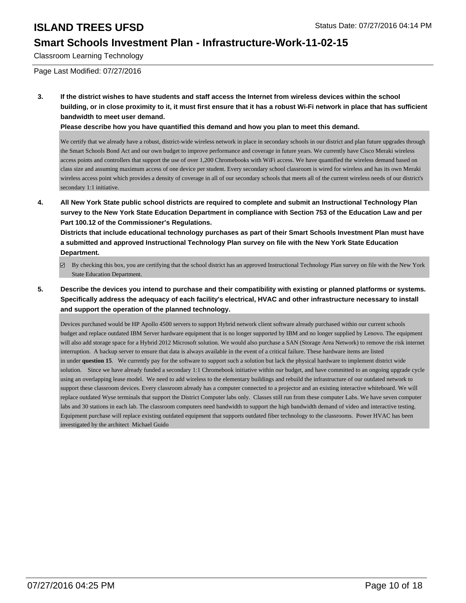### **Smart Schools Investment Plan - Infrastructure-Work-11-02-15**

Classroom Learning Technology

Page Last Modified: 07/27/2016

**3. If the district wishes to have students and staff access the Internet from wireless devices within the school building, or in close proximity to it, it must first ensure that it has a robust Wi-Fi network in place that has sufficient bandwidth to meet user demand.**

**Please describe how you have quantified this demand and how you plan to meet this demand.**

We certify that we already have a robust, district-wide wireless network in place in secondary schools in our district and plan future upgrades through the Smart Schools Bond Act and our own budget to improve performance and coverage in future years. We currently have Cisco Meraki wireless access points and controllers that support the use of over 1,200 Chromebooks with WiFi access. We have quantified the wireless demand based on class size and assuming maximum access of one device per student. Every secondary school classroom is wired for wireless and has its own Meraki wireless access point which provides a density of coverage in all of our secondary schools that meets all of the current wireless needs of our district's secondary 1:1 initiative.

**4. All New York State public school districts are required to complete and submit an Instructional Technology Plan survey to the New York State Education Department in compliance with Section 753 of the Education Law and per Part 100.12 of the Commissioner's Regulations.**

**Districts that include educational technology purchases as part of their Smart Schools Investment Plan must have a submitted and approved Instructional Technology Plan survey on file with the New York State Education Department.**

- $\boxdot$  By checking this box, you are certifying that the school district has an approved Instructional Technology Plan survey on file with the New York State Education Department.
- **5. Describe the devices you intend to purchase and their compatibility with existing or planned platforms or systems. Specifically address the adequacy of each facility's electrical, HVAC and other infrastructure necessary to install and support the operation of the planned technology.**

Devices purchased would be HP Apollo 4500 servers to support Hybrid network client software already purchased within our current schools budget and replace outdated IBM Server hardware equipment that is no longer supported by IBM and no longer supplied by Lenovo. The equipment will also add storage space for a Hybrid 2012 Microsoft solution. We would also purchase a SAN (Storage Area Network) to remove the risk internet interruption. A backup server to ensure that data is always available in the event of a critical failure. These hardware items are listed in under **question 15**. We currently pay for the software to support such a solution but lack the physical hardware to implement district wide solution. Since we have already funded a secondary 1:1 Chromebook initiative within our budget, and have committed to an ongoing upgrade cycle using an overlapping lease model. We need to add wireless to the elementary buildings and rebuild the infrastructure of our outdated network to support these classroom devices. Every classroom already has a computer connected to a projector and an existing interactive whiteboard. We will replace outdated Wyse terminals that support the District Computer labs only. Classes still run from these computer Labs. We have seven computer labs and 30 stations in each lab. The classroom computers need bandwidth to support the high bandwidth demand of video and interactive testing. Equipment purchase will replace existing outdated equipment that supports outdated fiber technology to the classrooms. Power HVAC has been investigated by the architect Michael Guido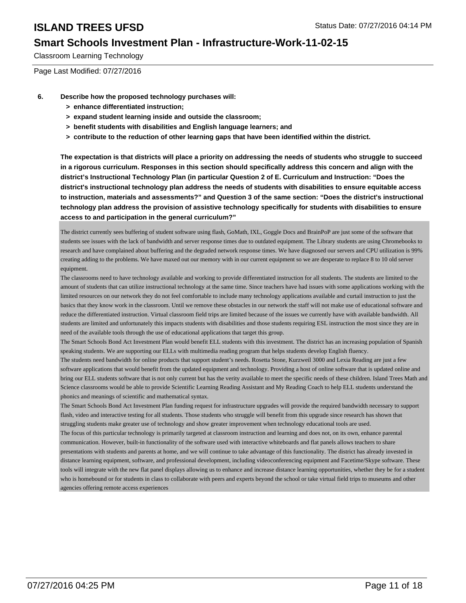### **Smart Schools Investment Plan - Infrastructure-Work-11-02-15**

Classroom Learning Technology

Page Last Modified: 07/27/2016

- **6. Describe how the proposed technology purchases will:**
	- **> enhance differentiated instruction;**
	- **> expand student learning inside and outside the classroom;**
	- **> benefit students with disabilities and English language learners; and**
	- **> contribute to the reduction of other learning gaps that have been identified within the district.**

**The expectation is that districts will place a priority on addressing the needs of students who struggle to succeed in a rigorous curriculum. Responses in this section should specifically address this concern and align with the district's Instructional Technology Plan (in particular Question 2 of E. Curriculum and Instruction: "Does the district's instructional technology plan address the needs of students with disabilities to ensure equitable access to instruction, materials and assessments?" and Question 3 of the same section: "Does the district's instructional technology plan address the provision of assistive technology specifically for students with disabilities to ensure access to and participation in the general curriculum?"**

The district currently sees buffering of student software using flash, GoMath, IXL, Goggle Docs and BrainPoP are just some of the software that students see issues with the lack of bandwidth and server response times due to outdated equipment. The Library students are using Chromebooks to research and have complained about buffering and the degraded network response times. We have diagnosed our servers and CPU utilization is 99% creating adding to the problems. We have maxed out our memory with in our current equipment so we are desperate to replace 8 to 10 old server equipment.

The classrooms need to have technology available and working to provide differentiated instruction for all students. The students are limited to the amount of students that can utilize instructional technology at the same time. Since teachers have had issues with some applications working with the limited resources on our network they do not feel comfortable to include many technology applications available and curtail instruction to just the basics that they know work in the classroom. Until we remove these obstacles in our network the staff will not make use of educational software and reduce the differentiated instruction. Virtual classroom field trips are limited because of the issues we currently have with available bandwidth. All students are limited and unfortunately this impacts students with disabilities and those students requiring ESL instruction the most since they are in need of the available tools through the use of educational applications that target this group.

The Smart Schools Bond Act Investment Plan would benefit ELL students with this investment. The district has an increasing population of Spanish speaking students. We are supporting our ELLs with multimedia reading program that helps students develop English fluency.

The students need bandwidth for online products that support student's needs. Rosetta Stone, Kurzweil 3000 and Lexia Reading are just a few software applications that would benefit from the updated equipment and technology. Providing a host of online software that is updated online and bring our ELL students software that is not only current but has the verity available to meet the specific needs of these children. Island Trees Math and Science classrooms would be able to provide Scientific Learning Reading Assistant and My Reading Coach to help ELL students understand the phonics and meanings of scientific and mathematical syntax.

The Smart Schools Bond Act Investment Plan funding request for infrastructure upgrades will provide the required bandwidth necessary to support flash, video and interactive testing for all students. Those students who struggle will benefit from this upgrade since research has shown that struggling students make greater use of technology and show greater improvement when technology educational tools are used.

The focus of this particular technology is primarily targeted at classroom instruction and learning and does not, on its own, enhance parental communication. However, built-in functionality of the software used with interactive whiteboards and flat panels allows teachers to share presentations with students and parents at home, and we will continue to take advantage of this functionality. The district has already invested in distance learning equipment, software, and professional development, including videoconferencing equipment and Facetime/Skype software. These tools will integrate with the new flat panel displays allowing us to enhance and increase distance learning opportunities, whether they be for a student who is homebound or for students in class to collaborate with peers and experts beyond the school or take virtual field trips to museums and other agencies offering remote access experiences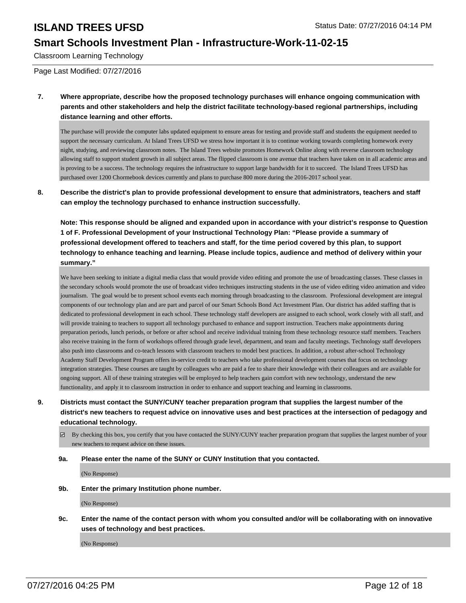### **Smart Schools Investment Plan - Infrastructure-Work-11-02-15**

Classroom Learning Technology

Page Last Modified: 07/27/2016

**7. Where appropriate, describe how the proposed technology purchases will enhance ongoing communication with parents and other stakeholders and help the district facilitate technology-based regional partnerships, including distance learning and other efforts.**

The purchase will provide the computer labs updated equipment to ensure areas for testing and provide staff and students the equipment needed to support the necessary curriculum. At Island Trees UFSD we stress how important it is to continue working towards completing homework every night, studying, and reviewing classroom notes. The Island Trees website promotes Homework Online along with reverse classroom technology allowing staff to support student growth in all subject areas. The flipped classroom is one avenue that teachers have taken on in all academic areas and is proving to be a success. The technology requires the infrastructure to support large bandwidth for it to succeed. The Island Trees UFSD has purchased over 1200 Chormebook devices currently and plans to purchase 800 more during the 2016-2017 school year.

**8. Describe the district's plan to provide professional development to ensure that administrators, teachers and staff can employ the technology purchased to enhance instruction successfully.**

**Note: This response should be aligned and expanded upon in accordance with your district's response to Question 1 of F. Professional Development of your Instructional Technology Plan: "Please provide a summary of professional development offered to teachers and staff, for the time period covered by this plan, to support technology to enhance teaching and learning. Please include topics, audience and method of delivery within your summary."**

We have been seeking to initiate a digital media class that would provide video editing and promote the use of broadcasting classes. These classes in the secondary schools would promote the use of broadcast video techniques instructing students in the use of video editing video animation and video journalism. The goal would be to present school events each morning through broadcasting to the classroom. Professional development are integral components of our technology plan and are part and parcel of our Smart Schools Bond Act Investment Plan. Our district has added staffing that is dedicated to professional development in each school. These technology staff developers are assigned to each school, work closely with all staff, and will provide training to teachers to support all technology purchased to enhance and support instruction. Teachers make appointments during preparation periods, lunch periods, or before or after school and receive individual training from these technology resource staff members. Teachers also receive training in the form of workshops offered through grade level, department, and team and faculty meetings. Technology staff developers also push into classrooms and co-teach lessons with classroom teachers to model best practices. In addition, a robust after-school Technology Academy Staff Development Program offers in-service credit to teachers who take professional development courses that focus on technology integration strategies. These courses are taught by colleagues who are paid a fee to share their knowledge with their colleagues and are available for ongoing support. All of these training strategies will be employed to help teachers gain comfort with new technology, understand the new functionality, and apply it to classroom instruction in order to enhance and support teaching and learning in classrooms.

- **9. Districts must contact the SUNY/CUNY teacher preparation program that supplies the largest number of the district's new teachers to request advice on innovative uses and best practices at the intersection of pedagogy and educational technology.**
	- By checking this box, you certify that you have contacted the SUNY/CUNY teacher preparation program that supplies the largest number of your new teachers to request advice on these issues.

### **9a. Please enter the name of the SUNY or CUNY Institution that you contacted.**

(No Response)

**9b. Enter the primary Institution phone number.**

(No Response)

**9c. Enter the name of the contact person with whom you consulted and/or will be collaborating with on innovative uses of technology and best practices.**

(No Response)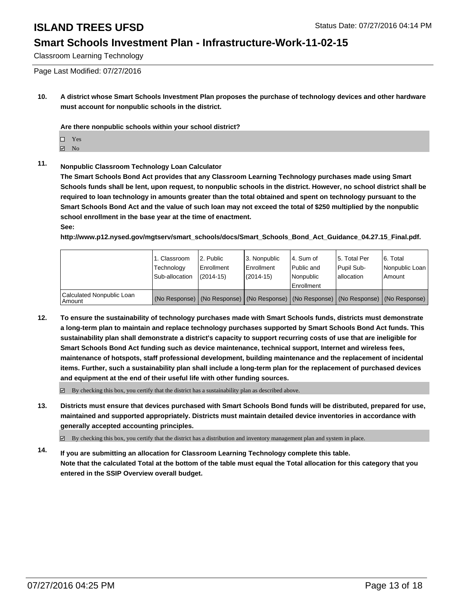### **Smart Schools Investment Plan - Infrastructure-Work-11-02-15**

Classroom Learning Technology

Page Last Modified: 07/27/2016

**10. A district whose Smart Schools Investment Plan proposes the purchase of technology devices and other hardware must account for nonpublic schools in the district.**

**Are there nonpublic schools within your school district?**

- $\Box$  Yes
- **☑** No

### **11. Nonpublic Classroom Technology Loan Calculator**

**The Smart Schools Bond Act provides that any Classroom Learning Technology purchases made using Smart Schools funds shall be lent, upon request, to nonpublic schools in the district. However, no school district shall be required to loan technology in amounts greater than the total obtained and spent on technology pursuant to the Smart Schools Bond Act and the value of such loan may not exceed the total of \$250 multiplied by the nonpublic school enrollment in the base year at the time of enactment. See:**

**http://www.p12.nysed.gov/mgtserv/smart\_schools/docs/Smart\_Schools\_Bond\_Act\_Guidance\_04.27.15\_Final.pdf.**

|                                       | 1. Classroom<br>Technology<br>Sub-allocation | l 2. Public<br><b>Enrollment</b><br>$(2014 - 15)$ | l 3. Nonpublic<br><b>Enrollment</b><br>$(2014 - 15)$ | 4. Sum of<br>Public and<br>l Nonpublic                                                        | l 5. Total Per<br>Pupil Sub-<br>lallocation | 6. Total<br>Nonpublic Loan<br>Amount |
|---------------------------------------|----------------------------------------------|---------------------------------------------------|------------------------------------------------------|-----------------------------------------------------------------------------------------------|---------------------------------------------|--------------------------------------|
|                                       |                                              |                                                   |                                                      | Enrollment                                                                                    |                                             |                                      |
| Calculated Nonpublic Loan<br>  Amount |                                              |                                                   |                                                      | (No Response)   (No Response)   (No Response)   (No Response)   (No Response)   (No Response) |                                             |                                      |

**12. To ensure the sustainability of technology purchases made with Smart Schools funds, districts must demonstrate a long-term plan to maintain and replace technology purchases supported by Smart Schools Bond Act funds. This sustainability plan shall demonstrate a district's capacity to support recurring costs of use that are ineligible for Smart Schools Bond Act funding such as device maintenance, technical support, Internet and wireless fees, maintenance of hotspots, staff professional development, building maintenance and the replacement of incidental items. Further, such a sustainability plan shall include a long-term plan for the replacement of purchased devices and equipment at the end of their useful life with other funding sources.**

 $\boxtimes$  By checking this box, you certify that the district has a sustainability plan as described above.

**13. Districts must ensure that devices purchased with Smart Schools Bond funds will be distributed, prepared for use, maintained and supported appropriately. Districts must maintain detailed device inventories in accordance with generally accepted accounting principles.**

By checking this box, you certify that the district has a distribution and inventory management plan and system in place.

**14. If you are submitting an allocation for Classroom Learning Technology complete this table. Note that the calculated Total at the bottom of the table must equal the Total allocation for this category that you entered in the SSIP Overview overall budget.**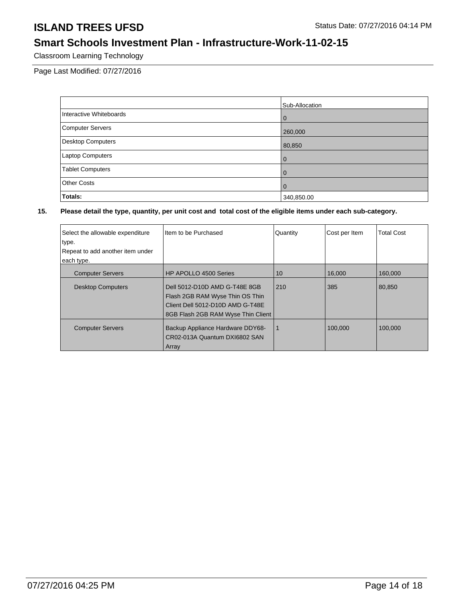## **Smart Schools Investment Plan - Infrastructure-Work-11-02-15**

Classroom Learning Technology

Page Last Modified: 07/27/2016

|                          | Sub-Allocation |
|--------------------------|----------------|
| Interactive Whiteboards  | l 0            |
| <b>Computer Servers</b>  | 260,000        |
| <b>Desktop Computers</b> | 80,850         |
| <b>Laptop Computers</b>  | l 0            |
| <b>Tablet Computers</b>  | $\overline{0}$ |
| <b>Other Costs</b>       | $\overline{0}$ |
| Totals:                  | 340,850.00     |

| I Item to be Purchased                                            | Quantity                                                                     | Cost per Item | <b>Total Cost</b> |
|-------------------------------------------------------------------|------------------------------------------------------------------------------|---------------|-------------------|
|                                                                   |                                                                              |               |                   |
|                                                                   |                                                                              |               |                   |
|                                                                   |                                                                              |               |                   |
| <b>HP APOLLO 4500 Series</b>                                      | 10                                                                           | 16,000        | 160,000           |
| Dell 5012-D10D AMD G-T48E 8GB                                     |                                                                              | 385           | 80.850            |
|                                                                   |                                                                              |               |                   |
|                                                                   |                                                                              |               |                   |
| 8GB Flash 2GB RAM Wyse Thin Client                                |                                                                              |               |                   |
| Backup Appliance Hardware DDY68-<br>CR02-013A Quantum DXI6802 SAN | -1                                                                           | 100.000       | 100,000           |
|                                                                   | Flash 2GB RAM Wyse Thin OS Thin<br>Client Dell 5012-D10D AMD G-T48E<br>Array | 210           |                   |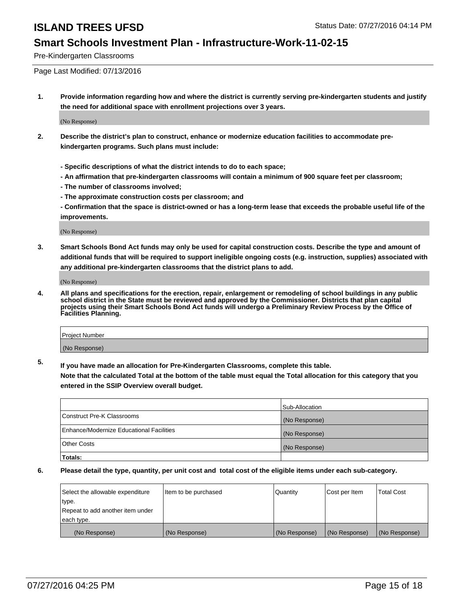### **Smart Schools Investment Plan - Infrastructure-Work-11-02-15**

Pre-Kindergarten Classrooms

Page Last Modified: 07/13/2016

**1. Provide information regarding how and where the district is currently serving pre-kindergarten students and justify the need for additional space with enrollment projections over 3 years.**

(No Response)

- **2. Describe the district's plan to construct, enhance or modernize education facilities to accommodate prekindergarten programs. Such plans must include:**
	- **Specific descriptions of what the district intends to do to each space;**
	- **An affirmation that pre-kindergarten classrooms will contain a minimum of 900 square feet per classroom;**
	- **The number of classrooms involved;**
	- **The approximate construction costs per classroom; and**
	- **Confirmation that the space is district-owned or has a long-term lease that exceeds the probable useful life of the improvements.**

(No Response)

**3. Smart Schools Bond Act funds may only be used for capital construction costs. Describe the type and amount of additional funds that will be required to support ineligible ongoing costs (e.g. instruction, supplies) associated with any additional pre-kindergarten classrooms that the district plans to add.**

(No Response)

**4. All plans and specifications for the erection, repair, enlargement or remodeling of school buildings in any public school district in the State must be reviewed and approved by the Commissioner. Districts that plan capital projects using their Smart Schools Bond Act funds will undergo a Preliminary Review Process by the Office of Facilities Planning.**

| Project Number |  |
|----------------|--|
| (No Response)  |  |

**5. If you have made an allocation for Pre-Kindergarten Classrooms, complete this table.**

**Note that the calculated Total at the bottom of the table must equal the Total allocation for this category that you entered in the SSIP Overview overall budget.**

|                                          | Sub-Allocation |
|------------------------------------------|----------------|
| Construct Pre-K Classrooms               | (No Response)  |
| Enhance/Modernize Educational Facilities | (No Response)  |
| Other Costs                              | (No Response)  |
| Totals:                                  |                |

| Select the allowable expenditure | litem to be purchased | Quantity      | Cost per Item | <b>Total Cost</b> |
|----------------------------------|-----------------------|---------------|---------------|-------------------|
| type.                            |                       |               |               |                   |
| Repeat to add another item under |                       |               |               |                   |
| each type.                       |                       |               |               |                   |
| (No Response)                    | (No Response)         | (No Response) | (No Response) | (No Response)     |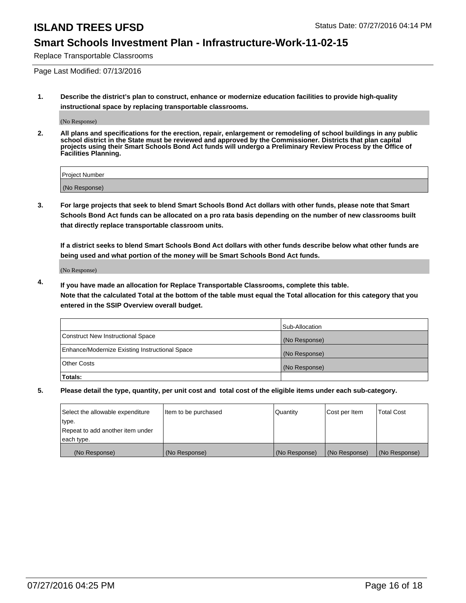### **Smart Schools Investment Plan - Infrastructure-Work-11-02-15**

Replace Transportable Classrooms

Page Last Modified: 07/13/2016

**1. Describe the district's plan to construct, enhance or modernize education facilities to provide high-quality instructional space by replacing transportable classrooms.**

(No Response)

**2. All plans and specifications for the erection, repair, enlargement or remodeling of school buildings in any public school district in the State must be reviewed and approved by the Commissioner. Districts that plan capital projects using their Smart Schools Bond Act funds will undergo a Preliminary Review Process by the Office of Facilities Planning.**

| <b>Project Number</b> |  |
|-----------------------|--|
| (No Response)         |  |

**3. For large projects that seek to blend Smart Schools Bond Act dollars with other funds, please note that Smart Schools Bond Act funds can be allocated on a pro rata basis depending on the number of new classrooms built that directly replace transportable classroom units.**

**If a district seeks to blend Smart Schools Bond Act dollars with other funds describe below what other funds are being used and what portion of the money will be Smart Schools Bond Act funds.**

(No Response)

**4. If you have made an allocation for Replace Transportable Classrooms, complete this table. Note that the calculated Total at the bottom of the table must equal the Total allocation for this category that you entered in the SSIP Overview overall budget.**

|                                                | Sub-Allocation |
|------------------------------------------------|----------------|
| Construct New Instructional Space              | (No Response)  |
| Enhance/Modernize Existing Instructional Space | (No Response)  |
| Other Costs                                    | (No Response)  |
| Totals:                                        |                |

| Select the allowable expenditure | Item to be purchased | Quantity      | Cost per Item | <b>Total Cost</b> |
|----------------------------------|----------------------|---------------|---------------|-------------------|
| type.                            |                      |               |               |                   |
| Repeat to add another item under |                      |               |               |                   |
| each type.                       |                      |               |               |                   |
| (No Response)                    | (No Response)        | (No Response) | (No Response) | (No Response)     |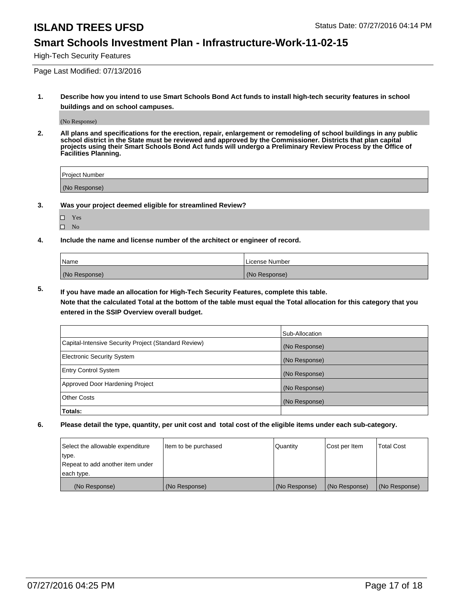### **Smart Schools Investment Plan - Infrastructure-Work-11-02-15**

High-Tech Security Features

Page Last Modified: 07/13/2016

**1. Describe how you intend to use Smart Schools Bond Act funds to install high-tech security features in school buildings and on school campuses.**

(No Response)

**2. All plans and specifications for the erection, repair, enlargement or remodeling of school buildings in any public school district in the State must be reviewed and approved by the Commissioner. Districts that plan capital projects using their Smart Schools Bond Act funds will undergo a Preliminary Review Process by the Office of Facilities Planning.** 

| Proiect Number |  |
|----------------|--|
| (No Response)  |  |

**3. Was your project deemed eligible for streamlined Review?**

| П | Yes |  |
|---|-----|--|
| П | Nο  |  |

**4. Include the name and license number of the architect or engineer of record.**

| Name          | License Number |
|---------------|----------------|
| (No Response) | (No Response)  |

**5. If you have made an allocation for High-Tech Security Features, complete this table.**

**Note that the calculated Total at the bottom of the table must equal the Total allocation for this category that you entered in the SSIP Overview overall budget.**

|                                                      | Sub-Allocation |
|------------------------------------------------------|----------------|
| Capital-Intensive Security Project (Standard Review) | (No Response)  |
| <b>Electronic Security System</b>                    | (No Response)  |
| <b>Entry Control System</b>                          | (No Response)  |
| Approved Door Hardening Project                      | (No Response)  |
| <b>Other Costs</b>                                   | (No Response)  |
| Totals:                                              |                |

| Select the allowable expenditure | litem to be purchased | Quantity      | Cost per Item | <b>Total Cost</b> |
|----------------------------------|-----------------------|---------------|---------------|-------------------|
| type.                            |                       |               |               |                   |
| Repeat to add another item under |                       |               |               |                   |
| each type.                       |                       |               |               |                   |
| (No Response)                    | (No Response)         | (No Response) | (No Response) | (No Response)     |